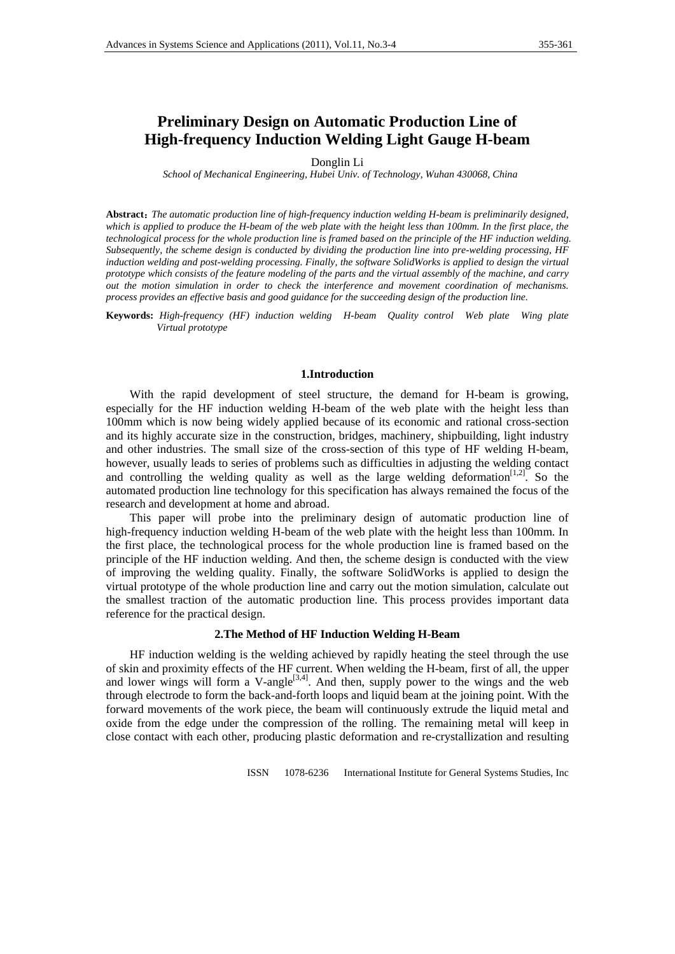# **Preliminary Design on Automatic Production Line of High-frequency Induction Welding Light Gauge H-beam**

Donglin Li

*School of Mechanical Engineering, Hubei Univ. of Technology, Wuhan 430068, China* 

**Abstract**:*The automatic production line of high-frequency induction welding H-beam is preliminarily designed,*  which is applied to produce the H-beam of the web plate with the height less than 100mm. In the first place, the *technological process for the whole production line is framed based on the principle of the HF induction welding. Subsequently, the scheme design is conducted by dividing the production line into pre-welding processing, HF induction welding and post-welding processing. Finally, the software SolidWorks is applied to design the virtual prototype which consists of the feature modeling of the parts and the virtual assembly of the machine, and carry out the motion simulation in order to check the interference and movement coordination of mechanisms. process provides an effective basis and good guidance for the succeeding design of the production line.*

**Keywords:** *High-frequency (HF) induction welding H-beam Quality control Web plate Wing plate Virtual prototype* 

#### **1.Introduction**

With the rapid development of steel structure, the demand for H-beam is growing, especially for the HF induction welding H-beam of the web plate with the height less than 100mm which is now being widely applied because of its economic and rational cross-section and its highly accurate size in the construction, bridges, machinery, shipbuilding, light industry and other industries. The small size of the cross-section of this type of HF welding H-beam, however, usually leads to series of problems such as difficulties in adjusting the welding contact and controlling the welding quality as well as the large welding deformation $[1,2]$ . So the automated production line technology for this specification has always remained the focus of the research and development at home and abroad.

This paper will probe into the preliminary design of automatic production line of high-frequency induction welding H-beam of the web plate with the height less than 100mm. In the first place, the technological process for the whole production line is framed based on the principle of the HF induction welding. And then, the scheme design is conducted with the view of improving the welding quality. Finally, the software SolidWorks is applied to design the virtual prototype of the whole production line and carry out the motion simulation, calculate out the smallest traction of the automatic production line. This process provides important data reference for the practical design.

### **2.The Method of HF Induction Welding H-Beam**

HF induction welding is the welding achieved by rapidly heating the steel through the use of skin and proximity effects of the HF current. When welding the H-beam, first of all, the upper and lower wings will form a V-angle<sup>[3,4]</sup>. And then, supply power to the wings and the web through electrode to form the back-and-forth loops and liquid beam at the joining point. With the forward movements of the work piece, the beam will continuously extrude the liquid metal and oxide from the edge under the compression of the rolling. The remaining metal will keep in close contact with each other, producing plastic deformation and re-crystallization and resulting

ISSN 1078-6236 International Institute for General Systems Studies, Inc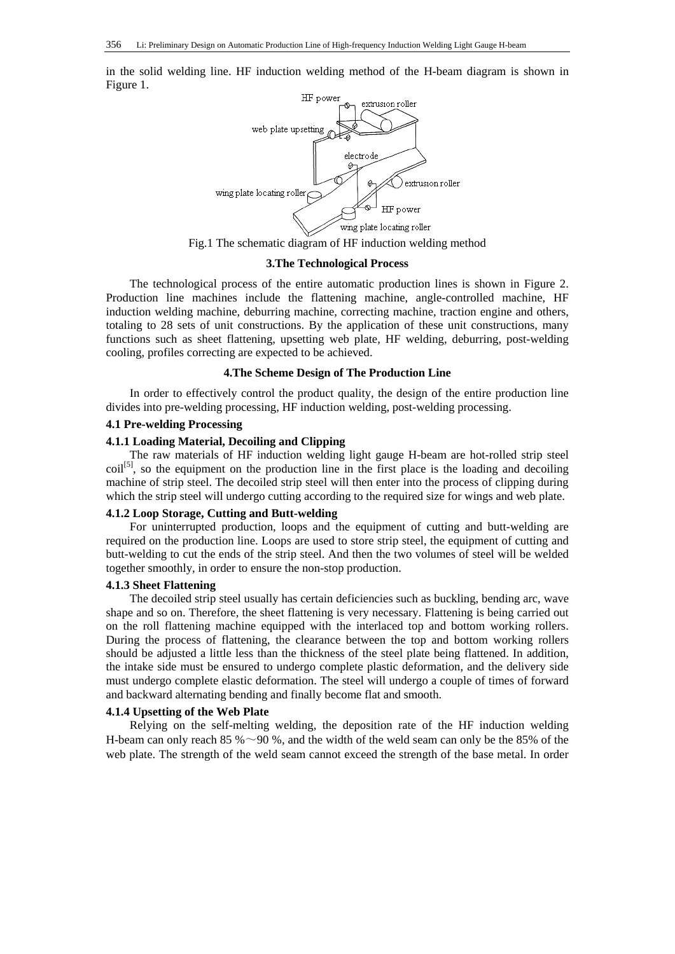in the solid welding line. HF induction welding method of the H-beam diagram is shown in Figure 1.



Fig.1 The schematic diagram of HF induction welding method

#### **3.The Technological Process**

The technological process of the entire automatic production lines is shown in Figure 2. Production line machines include the flattening machine, angle-controlled machine, HF induction welding machine, deburring machine, correcting machine, traction engine and others, totaling to 28 sets of unit constructions. By the application of these unit constructions, many functions such as sheet flattening, upsetting web plate, HF welding, deburring, post-welding cooling, profiles correcting are expected to be achieved.

### **4.The Scheme Design of The Production Line**

In order to effectively control the product quality, the design of the entire production line divides into pre-welding processing, HF induction welding, post-welding processing.

### **4.1 Pre-welding Processing**

# **4.1.1 Loading Material, Decoiling and Clipping**

The raw materials of HF induction welding light gauge H-beam are hot-rolled strip steel  $\text{coil}^{[5]}$ , so the equipment on the production line in the first place is the loading and decoiling machine of strip steel. The decoiled strip steel will then enter into the process of clipping during which the strip steel will undergo cutting according to the required size for wings and web plate.

# **4.1.2 Loop Storage, Cutting and Butt-welding**

For uninterrupted production, loops and the equipment of cutting and butt-welding are required on the production line. Loops are used to store strip steel, the equipment of cutting and butt-welding to cut the ends of the strip steel. And then the two volumes of steel will be welded together smoothly, in order to ensure the non-stop production.

### **4.1.3 Sheet Flattening**

The decoiled strip steel usually has certain deficiencies such as buckling, bending arc, wave shape and so on. Therefore, the sheet flattening is very necessary. Flattening is being carried out on the roll flattening machine equipped with the interlaced top and bottom working rollers. During the process of flattening, the clearance between the top and bottom working rollers should be adjusted a little less than the thickness of the steel plate being flattened. In addition, the intake side must be ensured to undergo complete plastic deformation, and the delivery side must undergo complete elastic deformation. The steel will undergo a couple of times of forward and backward alternating bending and finally become flat and smooth.

### **4.1.4 Upsetting of the Web Plate**

Relying on the self-melting welding, the deposition rate of the HF induction welding H-beam can only reach 85 %  $\sim$ 90 %, and the width of the weld seam can only be the 85% of the web plate. The strength of the weld seam cannot exceed the strength of the base metal. In order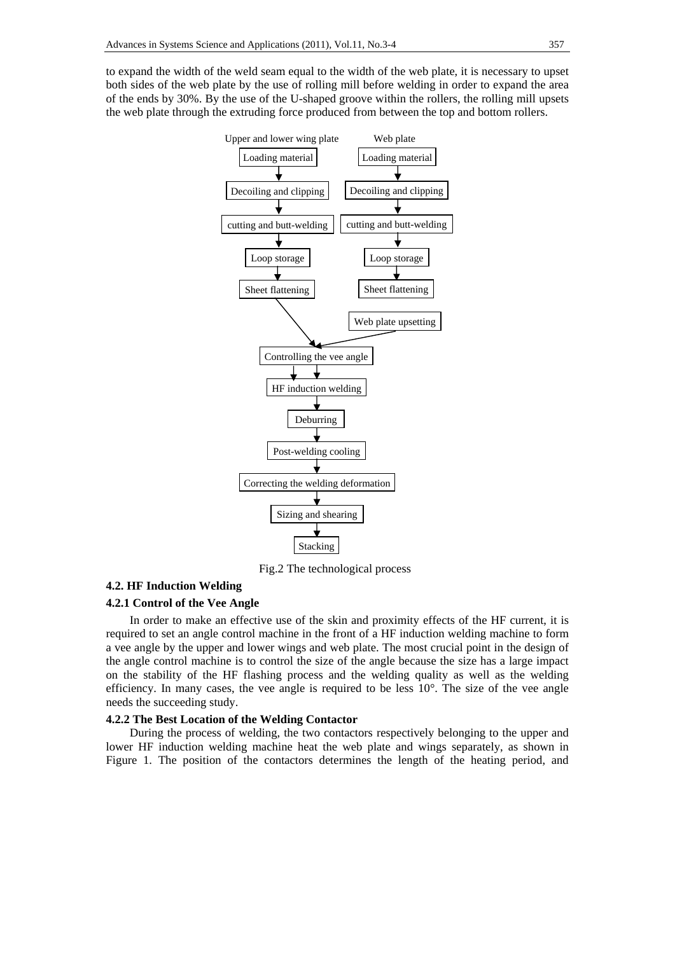to expand the width of the weld seam equal to the width of the web plate, it is necessary to upset both sides of the web plate by the use of rolling mill before welding in order to expand the area of the ends by 30%. By the use of the U-shaped groove within the rollers, the rolling mill upsets the web plate through the extruding force produced from between the top and bottom rollers.



Fig.2 The technological process

# **4.2. HF Induction Welding**

# **4.2.1 Control of the Vee Angle**

In order to make an effective use of the skin and proximity effects of the HF current, it is required to set an angle control machine in the front of a HF induction welding machine to form a vee angle by the upper and lower wings and web plate. The most crucial point in the design of the angle control machine is to control the size of the angle because the size has a large impact on the stability of the HF flashing process and the welding quality as well as the welding efficiency. In many cases, the vee angle is required to be less  $10^{\circ}$ . The size of the vee angle needs the succeeding study.

# **4.2.2 The Best Location of the Welding Contactor**

During the process of welding, the two contactors respectively belonging to the upper and lower HF induction welding machine heat the web plate and wings separately, as shown in Figure 1. The position of the contactors determines the length of the heating period, and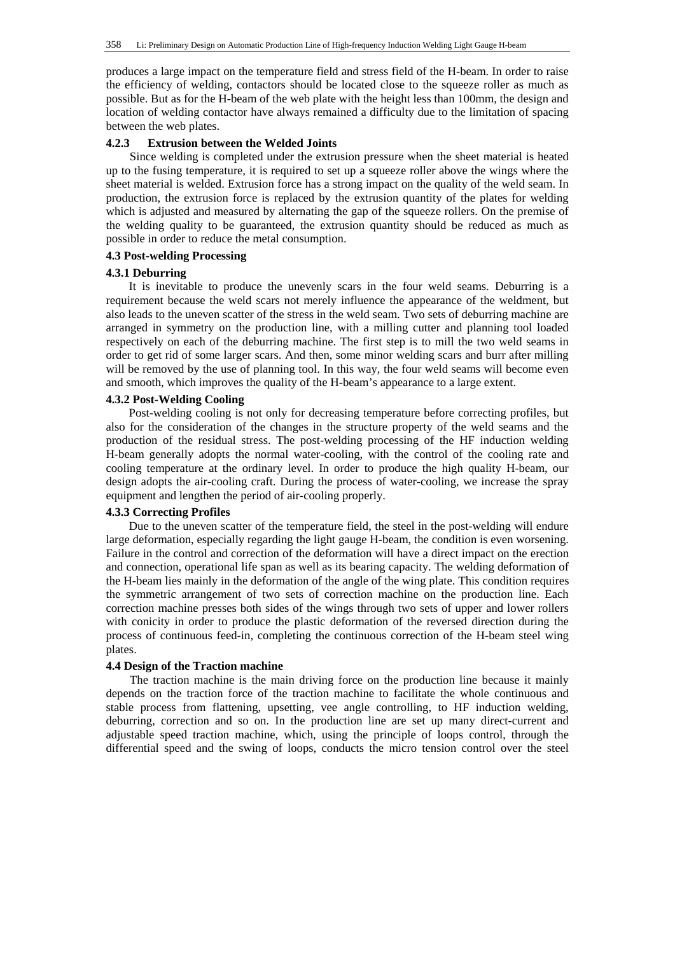produces a large impact on the temperature field and stress field of the H-beam. In order to raise the efficiency of welding, contactors should be located close to the squeeze roller as much as possible. But as for the H-beam of the web plate with the height less than 100mm, the design and location of welding contactor have always remained a difficulty due to the limitation of spacing between the web plates.

# **4.2.3 Extrusion between the Welded Joints**

Since welding is completed under the extrusion pressure when the sheet material is heated up to the fusing temperature, it is required to set up a squeeze roller above the wings where the sheet material is welded. Extrusion force has a strong impact on the quality of the weld seam. In production, the extrusion force is replaced by the extrusion quantity of the plates for welding which is adjusted and measured by alternating the gap of the squeeze rollers. On the premise of the welding quality to be guaranteed, the extrusion quantity should be reduced as much as possible in order to reduce the metal consumption.

# **4.3 Post-welding Processing**

### **4.3.1 Deburring**

It is inevitable to produce the unevenly scars in the four weld seams. Deburring is a requirement because the weld scars not merely influence the appearance of the weldment, but also leads to the uneven scatter of the stress in the weld seam. Two sets of deburring machine are arranged in symmetry on the production line, with a milling cutter and planning tool loaded respectively on each of the deburring machine. The first step is to mill the two weld seams in order to get rid of some larger scars. And then, some minor welding scars and burr after milling will be removed by the use of planning tool. In this way, the four weld seams will become even and smooth, which improves the quality of the H-beam's appearance to a large extent.

# **4.3.2 Post-Welding Cooling**

Post-welding cooling is not only for decreasing temperature before correcting profiles, but also for the consideration of the changes in the structure property of the weld seams and the production of the residual stress. The post-welding processing of the HF induction welding H-beam generally adopts the normal water-cooling, with the control of the cooling rate and cooling temperature at the ordinary level. In order to produce the high quality H-beam, our design adopts the air-cooling craft. During the process of water-cooling, we increase the spray equipment and lengthen the period of air-cooling properly.

# **4.3.3 Correcting Profiles**

Due to the uneven scatter of the temperature field, the steel in the post-welding will endure large deformation, especially regarding the light gauge H-beam, the condition is even worsening. Failure in the control and correction of the deformation will have a direct impact on the erection and connection, operational life span as well as its bearing capacity. The welding deformation of the H-beam lies mainly in the deformation of the angle of the wing plate. This condition requires the symmetric arrangement of two sets of correction machine on the production line. Each correction machine presses both sides of the wings through two sets of upper and lower rollers with conicity in order to produce the plastic deformation of the reversed direction during the process of continuous feed-in, completing the continuous correction of the H-beam steel wing plates.

### **4.4 Design of the Traction machine**

The traction machine is the main driving force on the production line because it mainly depends on the traction force of the traction machine to facilitate the whole continuous and stable process from flattening, upsetting, vee angle controlling, to HF induction welding, deburring, correction and so on. In the production line are set up many direct-current and adjustable speed traction machine, which, using the principle of loops control, through the differential speed and the swing of loops, conducts the micro tension control over the steel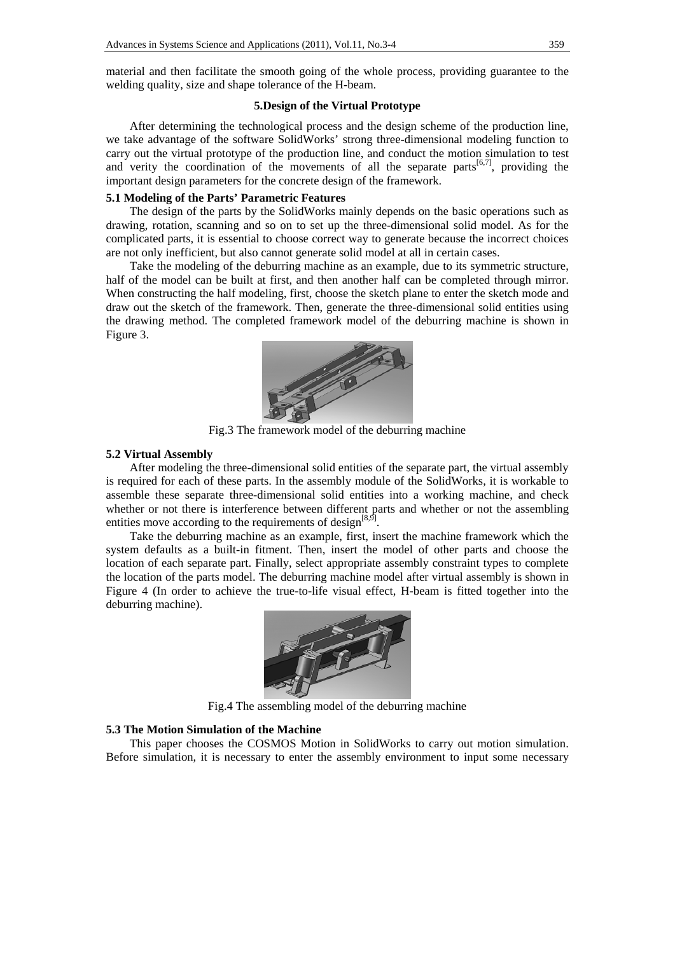material and then facilitate the smooth going of the whole process, providing guarantee to the welding quality, size and shape tolerance of the H-beam.

# **5.Design of the Virtual Prototype**

After determining the technological process and the design scheme of the production line, we take advantage of the software SolidWorks' strong three-dimensional modeling function to carry out the virtual prototype of the production line, and conduct the motion simulation to test and verity the coordination of the movements of all the separate parts $[6,7]$ , providing the important design parameters for the concrete design of the framework.

# **5.1 Modeling of the Parts' Parametric Features**

The design of the parts by the SolidWorks mainly depends on the basic operations such as drawing, rotation, scanning and so on to set up the three-dimensional solid model. As for the complicated parts, it is essential to choose correct way to generate because the incorrect choices are not only inefficient, but also cannot generate solid model at all in certain cases.

Take the modeling of the deburring machine as an example, due to its symmetric structure, half of the model can be built at first, and then another half can be completed through mirror. When constructing the half modeling, first, choose the sketch plane to enter the sketch mode and draw out the sketch of the framework. Then, generate the three-dimensional solid entities using the drawing method. The completed framework model of the deburring machine is shown in Figure 3.



Fig.3 The framework model of the deburring machine

# **5.2 Virtual Assembly**

After modeling the three-dimensional solid entities of the separate part, the virtual assembly is required for each of these parts. In the assembly module of the SolidWorks, it is workable to assemble these separate three-dimensional solid entities into a working machine, and check whether or not there is interference between different parts and whether or not the assembling entities move according to the requirements of design $[8,9]$ .

Take the deburring machine as an example, first, insert the machine framework which the system defaults as a built-in fitment. Then, insert the model of other parts and choose the location of each separate part. Finally, select appropriate assembly constraint types to complete the location of the parts model. The deburring machine model after virtual assembly is shown in Figure 4 (In order to achieve the true-to-life visual effect, H-beam is fitted together into the deburring machine).



Fig.4 The assembling model of the deburring machine

# **5.3 The Motion Simulation of the Machine**

This paper chooses the COSMOS Motion in SolidWorks to carry out motion simulation. Before simulation, it is necessary to enter the assembly environment to input some necessary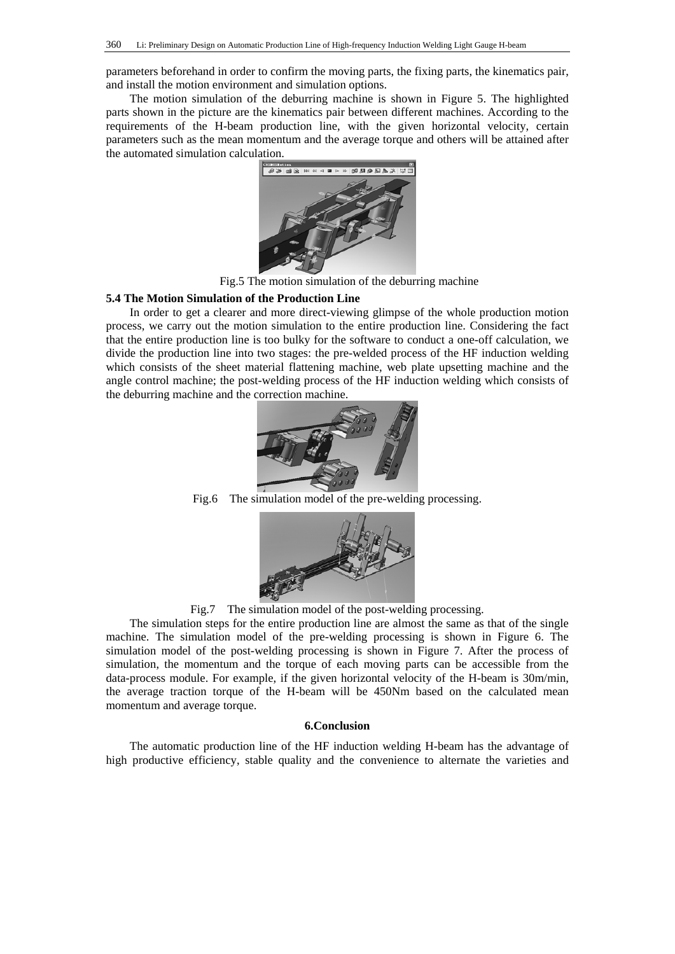parameters beforehand in order to confirm the moving parts, the fixing parts, the kinematics pair, and install the motion environment and simulation options.

The motion simulation of the deburring machine is shown in Figure 5. The highlighted parts shown in the picture are the kinematics pair between different machines. According to the requirements of the H-beam production line, with the given horizontal velocity, certain parameters such as the mean momentum and the average torque and others will be attained after the automated simulation calculation.



Fig.5 The motion simulation of the deburring machine

### **5.4 The Motion Simulation of the Production Line**

In order to get a clearer and more direct-viewing glimpse of the whole production motion process, we carry out the motion simulation to the entire production line. Considering the fact that the entire production line is too bulky for the software to conduct a one-off calculation, we divide the production line into two stages: the pre-welded process of the HF induction welding which consists of the sheet material flattening machine, web plate upsetting machine and the angle control machine; the post-welding process of the HF induction welding which consists of the deburring machine and the correction machine.



Fig.6 The simulation model of the pre-welding processing.



Fig.7 The simulation model of the post-welding processing.

The simulation steps for the entire production line are almost the same as that of the single machine. The simulation model of the pre-welding processing is shown in Figure 6. The simulation model of the post-welding processing is shown in Figure 7. After the process of simulation, the momentum and the torque of each moving parts can be accessible from the data-process module. For example, if the given horizontal velocity of the H-beam is 30m/min, the average traction torque of the H-beam will be 450Nm based on the calculated mean momentum and average torque.

# **6.Conclusion**

The automatic production line of the HF induction welding H-beam has the advantage of high productive efficiency, stable quality and the convenience to alternate the varieties and